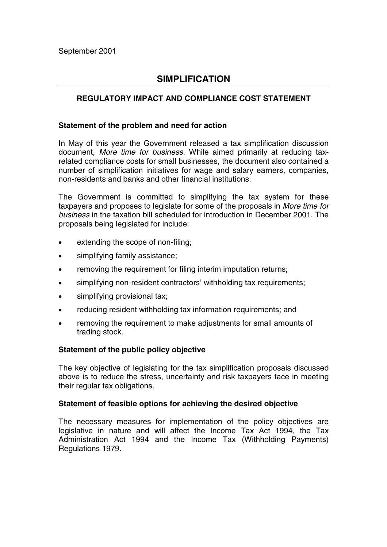# **SIMPLIFICATION**

# **REGULATORY IMPACT AND COMPLIANCE COST STATEMENT**

## **Statement of the problem and need for action**

In May of this year the Government released a tax simplification discussion document, *More time for business*. While aimed primarily at reducing taxrelated compliance costs for small businesses, the document also contained a number of simplification initiatives for wage and salary earners, companies, non-residents and banks and other financial institutions.

The Government is committed to simplifying the tax system for these taxpayers and proposes to legislate for some of the proposals in *More time for business* in the taxation bill scheduled for introduction in December 2001. The proposals being legislated for include:

- extending the scope of non-filing;
- simplifying family assistance;
- removing the requirement for filing interim imputation returns;
- simplifying non-resident contractors' withholding tax requirements;
- simplifying provisional tax:
- reducing resident withholding tax information requirements; and
- removing the requirement to make adjustments for small amounts of trading stock.

## **Statement of the public policy objective**

The key objective of legislating for the tax simplification proposals discussed above is to reduce the stress, uncertainty and risk taxpayers face in meeting their regular tax obligations.

## **Statement of feasible options for achieving the desired objective**

The necessary measures for implementation of the policy objectives are legislative in nature and will affect the Income Tax Act 1994, the Tax Administration Act 1994 and the Income Tax (Withholding Payments) Regulations 1979.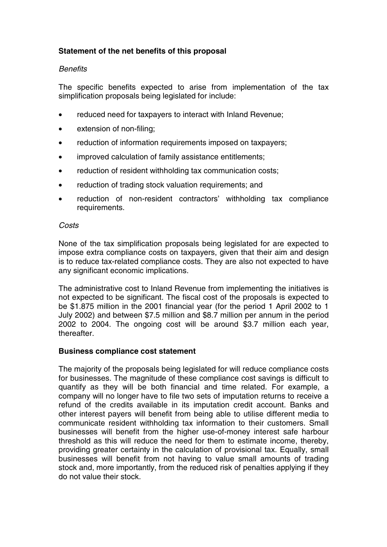# **Statement of the net benefits of this proposal**

# *Benefits*

The specific benefits expected to arise from implementation of the tax simplification proposals being legislated for include:

- reduced need for taxpayers to interact with Inland Revenue;
- extension of non-filing;
- reduction of information requirements imposed on taxpayers:
- improved calculation of family assistance entitlements;
- reduction of resident withholding tax communication costs;
- reduction of trading stock valuation requirements; and
- reduction of non-resident contractors' withholding tax compliance requirements.

## *Costs*

None of the tax simplification proposals being legislated for are expected to impose extra compliance costs on taxpayers, given that their aim and design is to reduce tax-related compliance costs. They are also not expected to have any significant economic implications.

The administrative cost to Inland Revenue from implementing the initiatives is not expected to be significant. The fiscal cost of the proposals is expected to be \$1.875 million in the 2001 financial year (for the period 1 April 2002 to 1 July 2002) and between \$7.5 million and \$8.7 million per annum in the period 2002 to 2004. The ongoing cost will be around \$3.7 million each year, thereafter.

## **Business compliance cost statement**

The majority of the proposals being legislated for will reduce compliance costs for businesses. The magnitude of these compliance cost savings is difficult to quantify as they will be both financial and time related. For example, a company will no longer have to file two sets of imputation returns to receive a refund of the credits available in its imputation credit account. Banks and other interest payers will benefit from being able to utilise different media to communicate resident withholding tax information to their customers. Small businesses will benefit from the higher use-of-money interest safe harbour threshold as this will reduce the need for them to estimate income, thereby, providing greater certainty in the calculation of provisional tax. Equally, small businesses will benefit from not having to value small amounts of trading stock and, more importantly, from the reduced risk of penalties applying if they do not value their stock.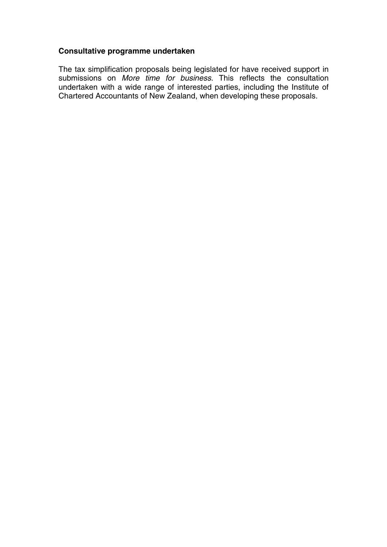# **Consultative programme undertaken**

The tax simplification proposals being legislated for have received support in submissions on *More time for business*. This reflects the consultation undertaken with a wide range of interested parties, including the Institute of Chartered Accountants of New Zealand, when developing these proposals.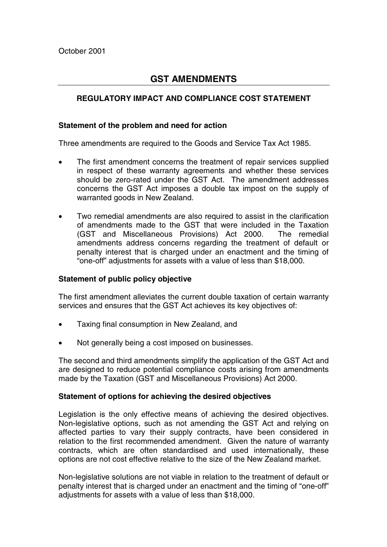# **GST AMENDMENTS**

# **REGULATORY IMPACT AND COMPLIANCE COST STATEMENT**

### **Statement of the problem and need for action**

Three amendments are required to the Goods and Service Tax Act 1985.

- The first amendment concerns the treatment of repair services supplied in respect of these warranty agreements and whether these services should be zero-rated under the GST Act. The amendment addresses concerns the GST Act imposes a double tax impost on the supply of warranted goods in New Zealand.
- Two remedial amendments are also required to assist in the clarification of amendments made to the GST that were included in the Taxation (GST and Miscellaneous Provisions) Act 2000. The remedial amendments address concerns regarding the treatment of default or penalty interest that is charged under an enactment and the timing of "one-off" adjustments for assets with a value of less than \$18,000.

#### **Statement of public policy objective**

The first amendment alleviates the current double taxation of certain warranty services and ensures that the GST Act achieves its key objectives of:

- Taxing final consumption in New Zealand, and
- Not generally being a cost imposed on businesses.

The second and third amendments simplify the application of the GST Act and are designed to reduce potential compliance costs arising from amendments made by the Taxation (GST and Miscellaneous Provisions) Act 2000.

#### **Statement of options for achieving the desired objectives**

Legislation is the only effective means of achieving the desired objectives. Non-legislative options, such as not amending the GST Act and relying on affected parties to vary their supply contracts, have been considered in relation to the first recommended amendment. Given the nature of warranty contracts, which are often standardised and used internationally, these options are not cost effective relative to the size of the New Zealand market.

Non-legislative solutions are not viable in relation to the treatment of default or penalty interest that is charged under an enactment and the timing of "one-off" adjustments for assets with a value of less than \$18,000.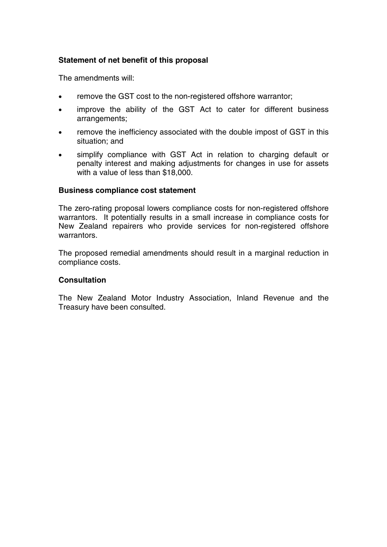# **Statement of net benefit of this proposal**

The amendments will:

- remove the GST cost to the non-registered offshore warrantor;
- improve the ability of the GST Act to cater for different business arrangements;
- remove the inefficiency associated with the double impost of GST in this situation; and
- simplify compliance with GST Act in relation to charging default or penalty interest and making adjustments for changes in use for assets with a value of less than \$18,000.

## **Business compliance cost statement**

The zero-rating proposal lowers compliance costs for non-registered offshore warrantors. It potentially results in a small increase in compliance costs for New Zealand repairers who provide services for non-registered offshore warrantors.

The proposed remedial amendments should result in a marginal reduction in compliance costs.

#### **Consultation**

The New Zealand Motor Industry Association, Inland Revenue and the Treasury have been consulted.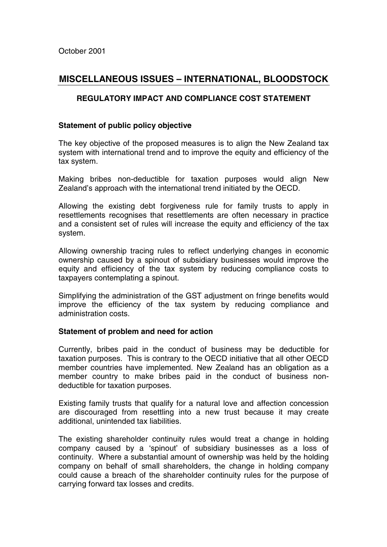# **MISCELLANEOUS ISSUES – INTERNATIONAL, BLOODSTOCK**

# **REGULATORY IMPACT AND COMPLIANCE COST STATEMENT**

## **Statement of public policy objective**

The key objective of the proposed measures is to align the New Zealand tax system with international trend and to improve the equity and efficiency of the tax system.

Making bribes non-deductible for taxation purposes would align New Zealand's approach with the international trend initiated by the OECD.

Allowing the existing debt forgiveness rule for family trusts to apply in resettlements recognises that resettlements are often necessary in practice and a consistent set of rules will increase the equity and efficiency of the tax system.

Allowing ownership tracing rules to reflect underlying changes in economic ownership caused by a spinout of subsidiary businesses would improve the equity and efficiency of the tax system by reducing compliance costs to taxpayers contemplating a spinout.

Simplifying the administration of the GST adjustment on fringe benefits would improve the efficiency of the tax system by reducing compliance and administration costs.

#### **Statement of problem and need for action**

Currently, bribes paid in the conduct of business may be deductible for taxation purposes. This is contrary to the OECD initiative that all other OECD member countries have implemented. New Zealand has an obligation as a member country to make bribes paid in the conduct of business nondeductible for taxation purposes.

Existing family trusts that qualify for a natural love and affection concession are discouraged from resettling into a new trust because it may create additional, unintended tax liabilities.

The existing shareholder continuity rules would treat a change in holding company caused by a 'spinout' of subsidiary businesses as a loss of continuity. Where a substantial amount of ownership was held by the holding company on behalf of small shareholders, the change in holding company could cause a breach of the shareholder continuity rules for the purpose of carrying forward tax losses and credits.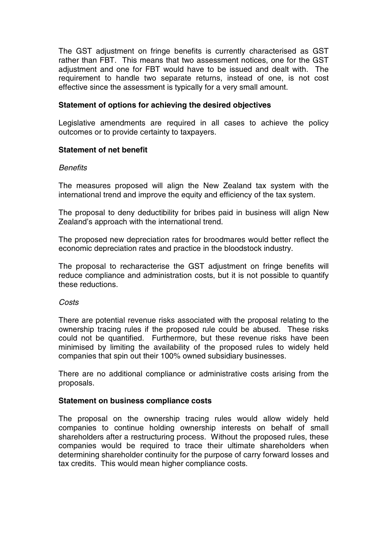The GST adjustment on fringe benefits is currently characterised as GST rather than FBT. This means that two assessment notices, one for the GST adjustment and one for FBT would have to be issued and dealt with. The requirement to handle two separate returns, instead of one, is not cost effective since the assessment is typically for a very small amount.

## **Statement of options for achieving the desired objectives**

Legislative amendments are required in all cases to achieve the policy outcomes or to provide certainty to taxpayers.

## **Statement of net benefit**

#### *Benefits*

The measures proposed will align the New Zealand tax system with the international trend and improve the equity and efficiency of the tax system.

The proposal to deny deductibility for bribes paid in business will align New Zealand's approach with the international trend.

The proposed new depreciation rates for broodmares would better reflect the economic depreciation rates and practice in the bloodstock industry.

The proposal to recharacterise the GST adjustment on fringe benefits will reduce compliance and administration costs, but it is not possible to quantify these reductions.

#### *Costs*

There are potential revenue risks associated with the proposal relating to the ownership tracing rules if the proposed rule could be abused. These risks could not be quantified. Furthermore, but these revenue risks have been minimised by limiting the availability of the proposed rules to widely held companies that spin out their 100% owned subsidiary businesses.

There are no additional compliance or administrative costs arising from the proposals.

## **Statement on business compliance costs**

The proposal on the ownership tracing rules would allow widely held companies to continue holding ownership interests on behalf of small shareholders after a restructuring process. Without the proposed rules, these companies would be required to trace their ultimate shareholders when determining shareholder continuity for the purpose of carry forward losses and tax credits. This would mean higher compliance costs.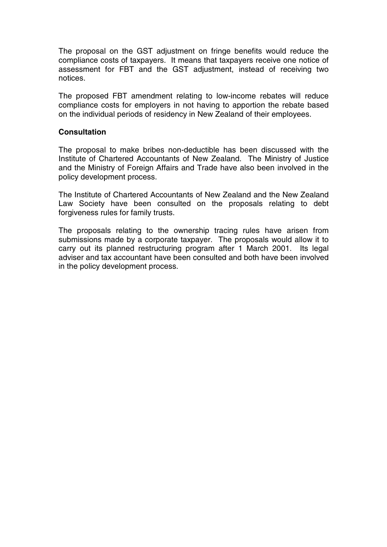The proposal on the GST adjustment on fringe benefits would reduce the compliance costs of taxpayers. It means that taxpayers receive one notice of assessment for FBT and the GST adjustment, instead of receiving two notices.

The proposed FBT amendment relating to low-income rebates will reduce compliance costs for employers in not having to apportion the rebate based on the individual periods of residency in New Zealand of their employees.

# **Consultation**

The proposal to make bribes non-deductible has been discussed with the Institute of Chartered Accountants of New Zealand. The Ministry of Justice and the Ministry of Foreign Affairs and Trade have also been involved in the policy development process.

The Institute of Chartered Accountants of New Zealand and the New Zealand Law Society have been consulted on the proposals relating to debt forgiveness rules for family trusts.

The proposals relating to the ownership tracing rules have arisen from submissions made by a corporate taxpayer. The proposals would allow it to carry out its planned restructuring program after 1 March 2001. Its legal adviser and tax accountant have been consulted and both have been involved in the policy development process.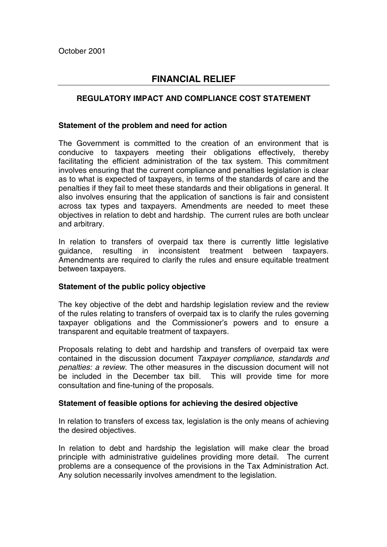# **FINANCIAL RELIEF**

# **REGULATORY IMPACT AND COMPLIANCE COST STATEMENT**

### **Statement of the problem and need for action**

The Government is committed to the creation of an environment that is conducive to taxpayers meeting their obligations effectively, thereby facilitating the efficient administration of the tax system. This commitment involves ensuring that the current compliance and penalties legislation is clear as to what is expected of taxpayers, in terms of the standards of care and the penalties if they fail to meet these standards and their obligations in general. It also involves ensuring that the application of sanctions is fair and consistent across tax types and taxpayers. Amendments are needed to meet these objectives in relation to debt and hardship. The current rules are both unclear and arbitrary.

In relation to transfers of overpaid tax there is currently little legislative guidance, resulting in inconsistent treatment between taxpayers. Amendments are required to clarify the rules and ensure equitable treatment between taxpayers.

## **Statement of the public policy objective**

The key objective of the debt and hardship legislation review and the review of the rules relating to transfers of overpaid tax is to clarify the rules governing taxpayer obligations and the Commissioner's powers and to ensure a transparent and equitable treatment of taxpayers.

Proposals relating to debt and hardship and transfers of overpaid tax were contained in the discussion document *Taxpayer compliance, standards and penalties: a review.* The other measures in the discussion document will not be included in the December tax bill. This will provide time for more consultation and fine-tuning of the proposals.

## **Statement of feasible options for achieving the desired objective**

In relation to transfers of excess tax, legislation is the only means of achieving the desired objectives.

In relation to debt and hardship the legislation will make clear the broad principle with administrative guidelines providing more detail. The current problems are a consequence of the provisions in the Tax Administration Act. Any solution necessarily involves amendment to the legislation.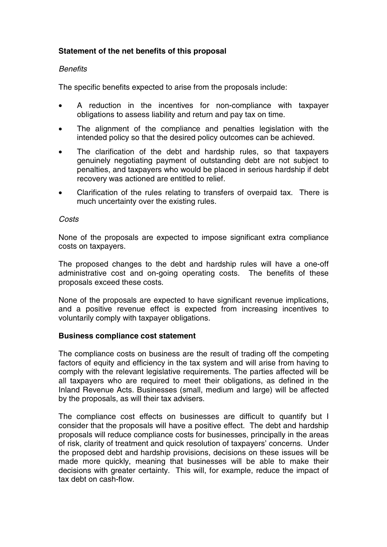# **Statement of the net benefits of this proposal**

## *Benefits*

The specific benefits expected to arise from the proposals include:

- A reduction in the incentives for non-compliance with taxpayer obligations to assess liability and return and pay tax on time.
- The alignment of the compliance and penalties legislation with the intended policy so that the desired policy outcomes can be achieved.
- The clarification of the debt and hardship rules, so that taxpayers genuinely negotiating payment of outstanding debt are not subject to penalties, and taxpayers who would be placed in serious hardship if debt recovery was actioned are entitled to relief.
- Clarification of the rules relating to transfers of overpaid tax. There is much uncertainty over the existing rules.

#### *Costs*

None of the proposals are expected to impose significant extra compliance costs on taxpayers.

The proposed changes to the debt and hardship rules will have a one-off administrative cost and on-going operating costs. The benefits of these proposals exceed these costs.

None of the proposals are expected to have significant revenue implications, and a positive revenue effect is expected from increasing incentives to voluntarily comply with taxpayer obligations.

#### **Business compliance cost statement**

The compliance costs on business are the result of trading off the competing factors of equity and efficiency in the tax system and will arise from having to comply with the relevant legislative requirements. The parties affected will be all taxpayers who are required to meet their obligations, as defined in the Inland Revenue Acts. Businesses (small, medium and large) will be affected by the proposals, as will their tax advisers.

The compliance cost effects on businesses are difficult to quantify but I consider that the proposals will have a positive effect. The debt and hardship proposals will reduce compliance costs for businesses, principally in the areas of risk, clarity of treatment and quick resolution of taxpayers' concerns. Under the proposed debt and hardship provisions, decisions on these issues will be made more quickly, meaning that businesses will be able to make their decisions with greater certainty. This will, for example, reduce the impact of tax debt on cash-flow.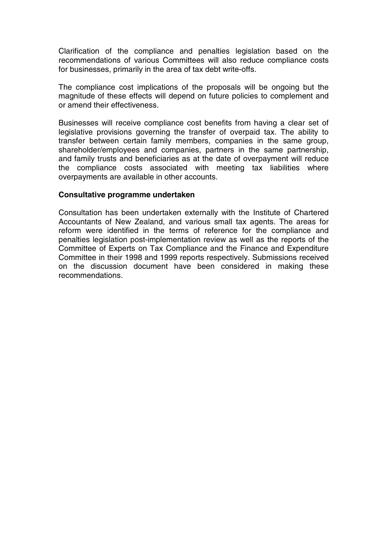Clarification of the compliance and penalties legislation based on the recommendations of various Committees will also reduce compliance costs for businesses, primarily in the area of tax debt write-offs.

The compliance cost implications of the proposals will be ongoing but the magnitude of these effects will depend on future policies to complement and or amend their effectiveness.

Businesses will receive compliance cost benefits from having a clear set of legislative provisions governing the transfer of overpaid tax. The ability to transfer between certain family members, companies in the same group, shareholder/employees and companies, partners in the same partnership, and family trusts and beneficiaries as at the date of overpayment will reduce the compliance costs associated with meeting tax liabilities where overpayments are available in other accounts.

#### **Consultative programme undertaken**

Consultation has been undertaken externally with the Institute of Chartered Accountants of New Zealand, and various small tax agents. The areas for reform were identified in the terms of reference for the compliance and penalties legislation post-implementation review as well as the reports of the Committee of Experts on Tax Compliance and the Finance and Expenditure Committee in their 1998 and 1999 reports respectively. Submissions received on the discussion document have been considered in making these recommendations.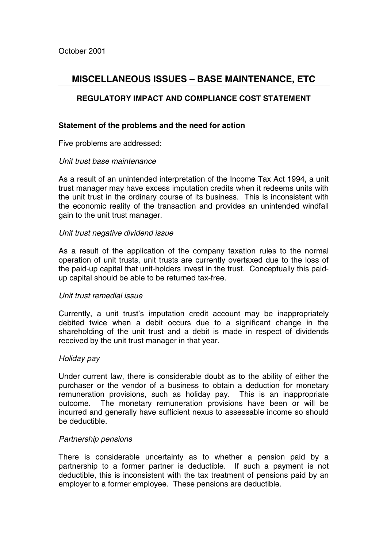# **MISCELLANEOUS ISSUES – BASE MAINTENANCE, ETC**

# **REGULATORY IMPACT AND COMPLIANCE COST STATEMENT**

## **Statement of the problems and the need for action**

Five problems are addressed:

## *Unit trust base maintenance*

As a result of an unintended interpretation of the Income Tax Act 1994, a unit trust manager may have excess imputation credits when it redeems units with the unit trust in the ordinary course of its business. This is inconsistent with the economic reality of the transaction and provides an unintended windfall gain to the unit trust manager.

## *Unit trust negative dividend issue*

As a result of the application of the company taxation rules to the normal operation of unit trusts, unit trusts are currently overtaxed due to the loss of the paid-up capital that unit-holders invest in the trust. Conceptually this paidup capital should be able to be returned tax-free.

#### *Unit trust remedial issue*

Currently, a unit trust's imputation credit account may be inappropriately debited twice when a debit occurs due to a significant change in the shareholding of the unit trust and a debit is made in respect of dividends received by the unit trust manager in that year.

#### *Holiday pay*

Under current law, there is considerable doubt as to the ability of either the purchaser or the vendor of a business to obtain a deduction for monetary remuneration provisions, such as holiday pay. This is an inappropriate outcome. The monetary remuneration provisions have been or will be incurred and generally have sufficient nexus to assessable income so should be deductible.

#### *Partnership pensions*

There is considerable uncertainty as to whether a pension paid by a partnership to a former partner is deductible. If such a payment is not deductible, this is inconsistent with the tax treatment of pensions paid by an employer to a former employee. These pensions are deductible.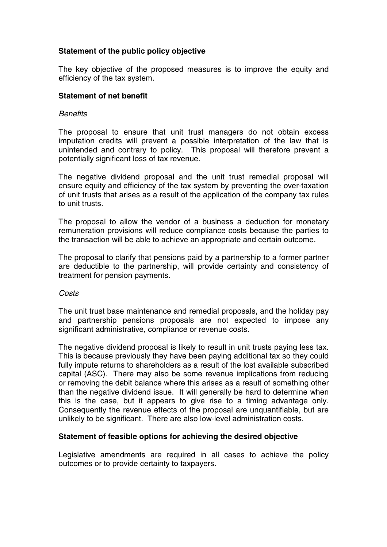# **Statement of the public policy objective**

The key objective of the proposed measures is to improve the equity and efficiency of the tax system.

## **Statement of net benefit**

### *Benefits*

The proposal to ensure that unit trust managers do not obtain excess imputation credits will prevent a possible interpretation of the law that is unintended and contrary to policy. This proposal will therefore prevent a potentially significant loss of tax revenue.

The negative dividend proposal and the unit trust remedial proposal will ensure equity and efficiency of the tax system by preventing the over-taxation of unit trusts that arises as a result of the application of the company tax rules to unit trusts.

The proposal to allow the vendor of a business a deduction for monetary remuneration provisions will reduce compliance costs because the parties to the transaction will be able to achieve an appropriate and certain outcome.

The proposal to clarify that pensions paid by a partnership to a former partner are deductible to the partnership, will provide certainty and consistency of treatment for pension payments.

#### *Costs*

The unit trust base maintenance and remedial proposals, and the holiday pay and partnership pensions proposals are not expected to impose any significant administrative, compliance or revenue costs.

The negative dividend proposal is likely to result in unit trusts paying less tax. This is because previously they have been paying additional tax so they could fully impute returns to shareholders as a result of the lost available subscribed capital (ASC). There may also be some revenue implications from reducing or removing the debit balance where this arises as a result of something other than the negative dividend issue. It will generally be hard to determine when this is the case, but it appears to give rise to a timing advantage only. Consequently the revenue effects of the proposal are unquantifiable, but are unlikely to be significant. There are also low-level administration costs.

#### **Statement of feasible options for achieving the desired objective**

Legislative amendments are required in all cases to achieve the policy outcomes or to provide certainty to taxpayers.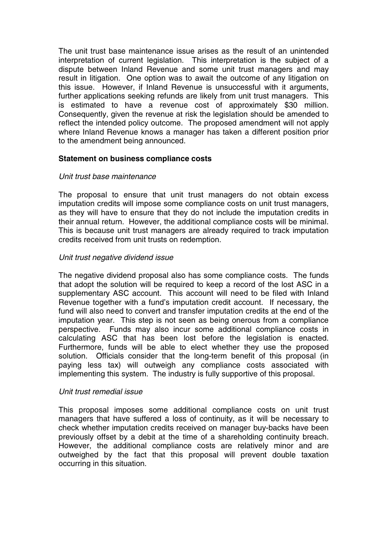The unit trust base maintenance issue arises as the result of an unintended interpretation of current legislation. This interpretation is the subject of a dispute between Inland Revenue and some unit trust managers and may result in litigation. One option was to await the outcome of any litigation on this issue. However, if Inland Revenue is unsuccessful with it arguments, further applications seeking refunds are likely from unit trust managers. This is estimated to have a revenue cost of approximately \$30 million. Consequently, given the revenue at risk the legislation should be amended to reflect the intended policy outcome. The proposed amendment will not apply where Inland Revenue knows a manager has taken a different position prior to the amendment being announced.

## **Statement on business compliance costs**

## *Unit trust base maintenance*

The proposal to ensure that unit trust managers do not obtain excess imputation credits will impose some compliance costs on unit trust managers, as they will have to ensure that they do not include the imputation credits in their annual return. However, the additional compliance costs will be minimal. This is because unit trust managers are already required to track imputation credits received from unit trusts on redemption.

## *Unit trust negative dividend issue*

The negative dividend proposal also has some compliance costs. The funds that adopt the solution will be required to keep a record of the lost ASC in a supplementary ASC account. This account will need to be filed with Inland Revenue together with a fund's imputation credit account. If necessary, the fund will also need to convert and transfer imputation credits at the end of the imputation year. This step is not seen as being onerous from a compliance perspective. Funds may also incur some additional compliance costs in calculating ASC that has been lost before the legislation is enacted. Furthermore, funds will be able to elect whether they use the proposed solution. Officials consider that the long-term benefit of this proposal (in paying less tax) will outweigh any compliance costs associated with implementing this system. The industry is fully supportive of this proposal.

#### *Unit trust remedial issue*

This proposal imposes some additional compliance costs on unit trust managers that have suffered a loss of continuity, as it will be necessary to check whether imputation credits received on manager buy-backs have been previously offset by a debit at the time of a shareholding continuity breach. However, the additional compliance costs are relatively minor and are outweighed by the fact that this proposal will prevent double taxation occurring in this situation.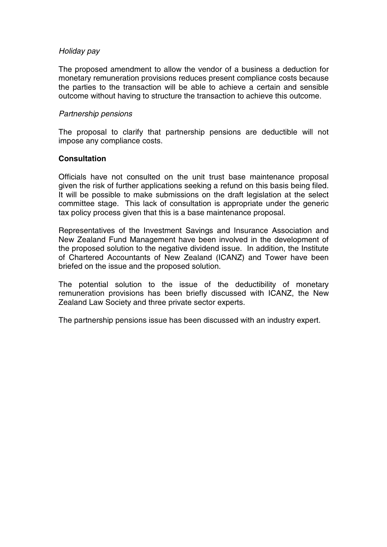## *Holiday pay*

The proposed amendment to allow the vendor of a business a deduction for monetary remuneration provisions reduces present compliance costs because the parties to the transaction will be able to achieve a certain and sensible outcome without having to structure the transaction to achieve this outcome.

## *Partnership pensions*

The proposal to clarify that partnership pensions are deductible will not impose any compliance costs.

## **Consultation**

Officials have not consulted on the unit trust base maintenance proposal given the risk of further applications seeking a refund on this basis being filed. It will be possible to make submissions on the draft legislation at the select committee stage. This lack of consultation is appropriate under the generic tax policy process given that this is a base maintenance proposal.

Representatives of the Investment Savings and Insurance Association and New Zealand Fund Management have been involved in the development of the proposed solution to the negative dividend issue. In addition, the Institute of Chartered Accountants of New Zealand (ICANZ) and Tower have been briefed on the issue and the proposed solution.

The potential solution to the issue of the deductibility of monetary remuneration provisions has been briefly discussed with ICANZ, the New Zealand Law Society and three private sector experts.

The partnership pensions issue has been discussed with an industry expert.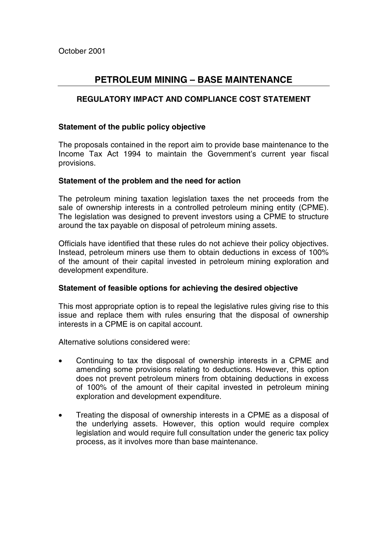# **PETROLEUM MINING – BASE MAINTENANCE**

# **REGULATORY IMPACT AND COMPLIANCE COST STATEMENT**

## **Statement of the public policy objective**

The proposals contained in the report aim to provide base maintenance to the Income Tax Act 1994 to maintain the Government's current year fiscal provisions.

## **Statement of the problem and the need for action**

The petroleum mining taxation legislation taxes the net proceeds from the sale of ownership interests in a controlled petroleum mining entity (CPME). The legislation was designed to prevent investors using a CPME to structure around the tax payable on disposal of petroleum mining assets.

Officials have identified that these rules do not achieve their policy objectives. Instead, petroleum miners use them to obtain deductions in excess of 100% of the amount of their capital invested in petroleum mining exploration and development expenditure.

## **Statement of feasible options for achieving the desired objective**

This most appropriate option is to repeal the legislative rules giving rise to this issue and replace them with rules ensuring that the disposal of ownership interests in a CPME is on capital account.

Alternative solutions considered were:

- Continuing to tax the disposal of ownership interests in a CPME and amending some provisions relating to deductions. However, this option does not prevent petroleum miners from obtaining deductions in excess of 100% of the amount of their capital invested in petroleum mining exploration and development expenditure.
- Treating the disposal of ownership interests in a CPME as a disposal of the underlying assets. However, this option would require complex legislation and would require full consultation under the generic tax policy process, as it involves more than base maintenance.